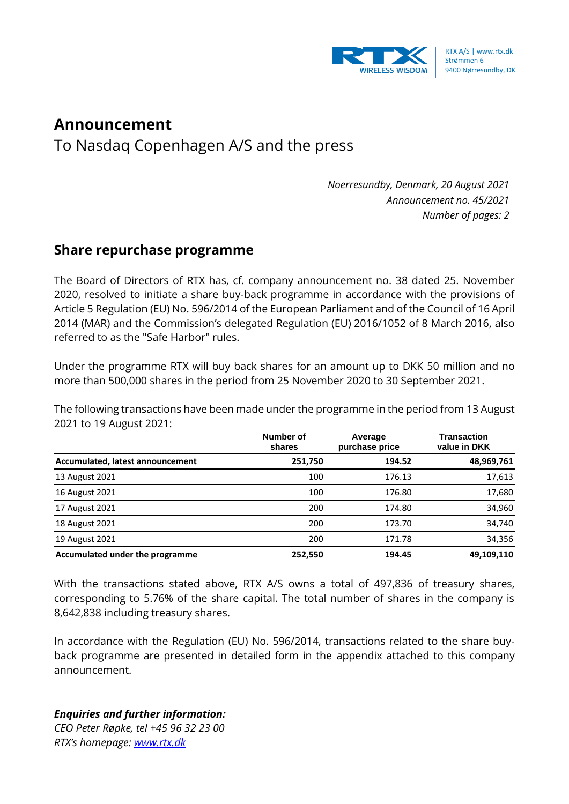

## **Announcement**

To Nasdaq Copenhagen A/S and the press

*Noerresundby, Denmark, 20 August 2021 Announcement no. 45/2021 Number of pages: 2*

## **Share repurchase programme**

The Board of Directors of RTX has, cf. company announcement no. 38 dated 25. November 2020, resolved to initiate a share buy-back programme in accordance with the provisions of Article 5 Regulation (EU) No. 596/2014 of the European Parliament and of the Council of 16 April 2014 (MAR) and the Commission's delegated Regulation (EU) 2016/1052 of 8 March 2016, also referred to as the "Safe Harbor" rules.

Under the programme RTX will buy back shares for an amount up to DKK 50 million and no more than 500,000 shares in the period from 25 November 2020 to 30 September 2021.

The following transactions have been made under the programme in the period from 13 August 2021 to 19 August 2021:

|                                  | Number of<br>shares | Average<br>purchase price | <b>Transaction</b><br>value in DKK |
|----------------------------------|---------------------|---------------------------|------------------------------------|
| Accumulated, latest announcement | 251,750             | 194.52                    | 48,969,761                         |
| 13 August 2021                   | 100                 | 176.13                    | 17,613                             |
| 16 August 2021                   | 100                 | 176.80                    | 17,680                             |
| 17 August 2021                   | 200                 | 174.80                    | 34,960                             |
| 18 August 2021                   | 200                 | 173.70                    | 34,740                             |
| 19 August 2021                   | 200                 | 171.78                    | 34,356                             |
| Accumulated under the programme  | 252.550             | 194.45                    | 49,109,110                         |

With the transactions stated above, RTX A/S owns a total of 497,836 of treasury shares, corresponding to 5.76% of the share capital. The total number of shares in the company is 8,642,838 including treasury shares.

In accordance with the Regulation (EU) No. 596/2014, transactions related to the share buyback programme are presented in detailed form in the appendix attached to this company announcement.

## *Enquiries and further information:*

*CEO Peter Røpke, tel +45 96 32 23 00 RTX's homepage: [www.rtx.dk](http://www.rtx.dk/)*